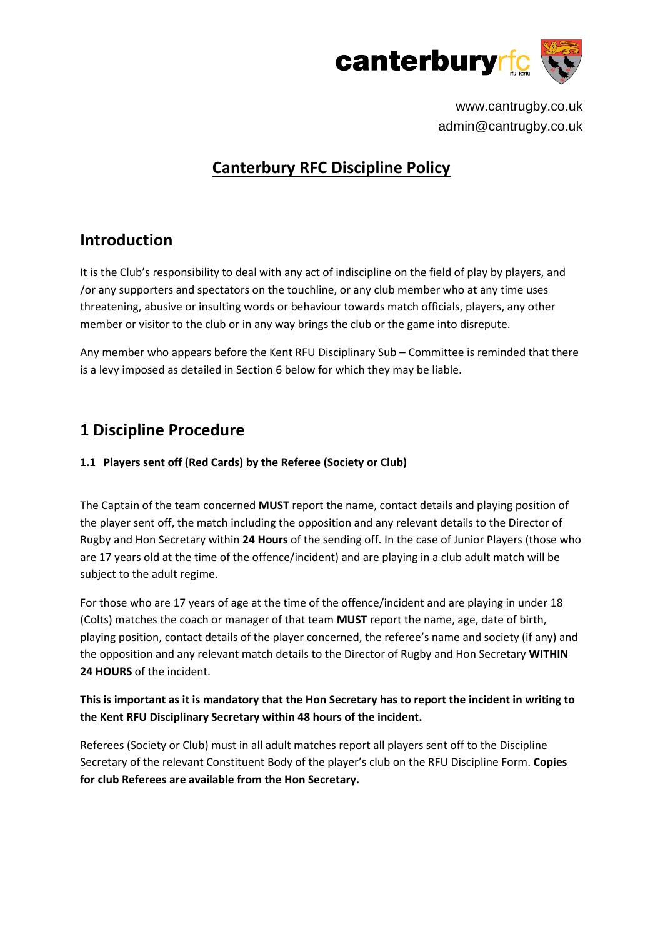

# **Canterbury RFC Discipline Policy**

## **Introduction**

It is the Club's responsibility to deal with any act of indiscipline on the field of play by players, and /or any supporters and spectators on the touchline, or any club member who at any time uses threatening, abusive or insulting words or behaviour towards match officials, players, any other member or visitor to the club or in any way brings the club or the game into disrepute.

Any member who appears before the Kent RFU Disciplinary Sub – Committee is reminded that there is a levy imposed as detailed in Section 6 below for which they may be liable.

# **1 Discipline Procedure**

### **1.1 Players sent off (Red Cards) by the Referee (Society or Club)**

The Captain of the team concerned **MUST** report the name, contact details and playing position of the player sent off, the match including the opposition and any relevant details to the Director of Rugby and Hon Secretary within **24 Hours** of the sending off. In the case of Junior Players (those who are 17 years old at the time of the offence/incident) and are playing in a club adult match will be subject to the adult regime.

For those who are 17 years of age at the time of the offence/incident and are playing in under 18 (Colts) matches the coach or manager of that team **MUST** report the name, age, date of birth, playing position, contact details of the player concerned, the referee's name and society (if any) and the opposition and any relevant match details to the Director of Rugby and Hon Secretary **WITHIN 24 HOURS** of the incident.

### **This is important as it is mandatory that the Hon Secretary has to report the incident in writing to the Kent RFU Disciplinary Secretary within 48 hours of the incident.**

Referees (Society or Club) must in all adult matches report all players sent off to the Discipline Secretary of the relevant Constituent Body of the player's club on the RFU Discipline Form. **Copies for club Referees are available from the Hon Secretary.**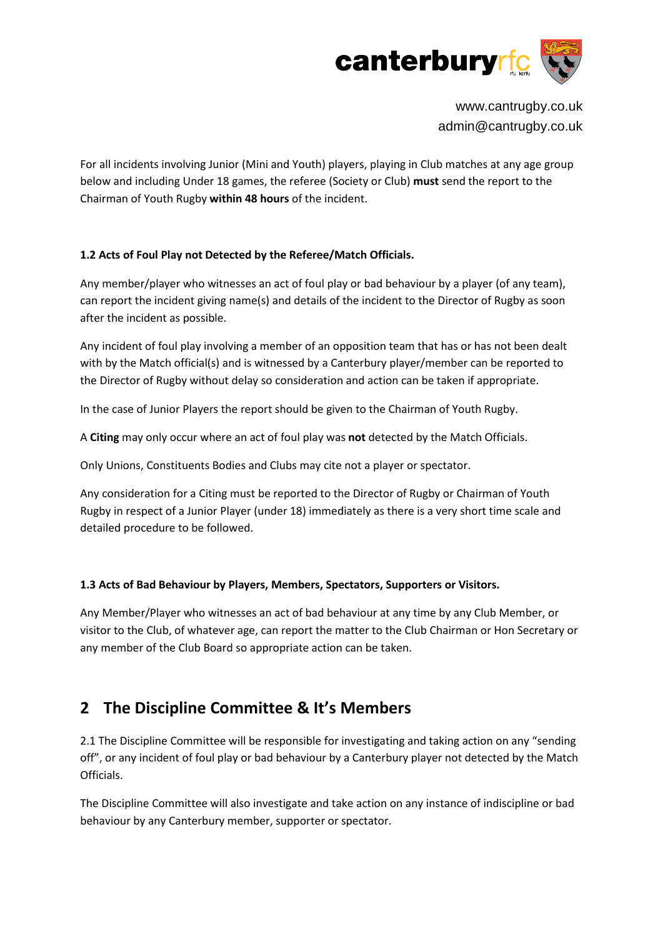

For all incidents involving Junior (Mini and Youth) players, playing in Club matches at any age group below and including Under 18 games, the referee (Society or Club) **must** send the report to the Chairman of Youth Rugby **within 48 hours** of the incident.

### **1.2 Acts of Foul Play not Detected by the Referee/Match Officials.**

Any member/player who witnesses an act of foul play or bad behaviour by a player (of any team), can report the incident giving name(s) and details of the incident to the Director of Rugby as soon after the incident as possible.

Any incident of foul play involving a member of an opposition team that has or has not been dealt with by the Match official(s) and is witnessed by a Canterbury player/member can be reported to the Director of Rugby without delay so consideration and action can be taken if appropriate.

In the case of Junior Players the report should be given to the Chairman of Youth Rugby.

A **Citing** may only occur where an act of foul play was **not** detected by the Match Officials.

Only Unions, Constituents Bodies and Clubs may cite not a player or spectator.

Any consideration for a Citing must be reported to the Director of Rugby or Chairman of Youth Rugby in respect of a Junior Player (under 18) immediately as there is a very short time scale and detailed procedure to be followed.

### **1.3 Acts of Bad Behaviour by Players, Members, Spectators, Supporters or Visitors.**

Any Member/Player who witnesses an act of bad behaviour at any time by any Club Member, or visitor to the Club, of whatever age, can report the matter to the Club Chairman or Hon Secretary or any member of the Club Board so appropriate action can be taken.

## **2 The Discipline Committee & It's Members**

2.1 The Discipline Committee will be responsible for investigating and taking action on any "sending off", or any incident of foul play or bad behaviour by a Canterbury player not detected by the Match Officials.

The Discipline Committee will also investigate and take action on any instance of indiscipline or bad behaviour by any Canterbury member, supporter or spectator.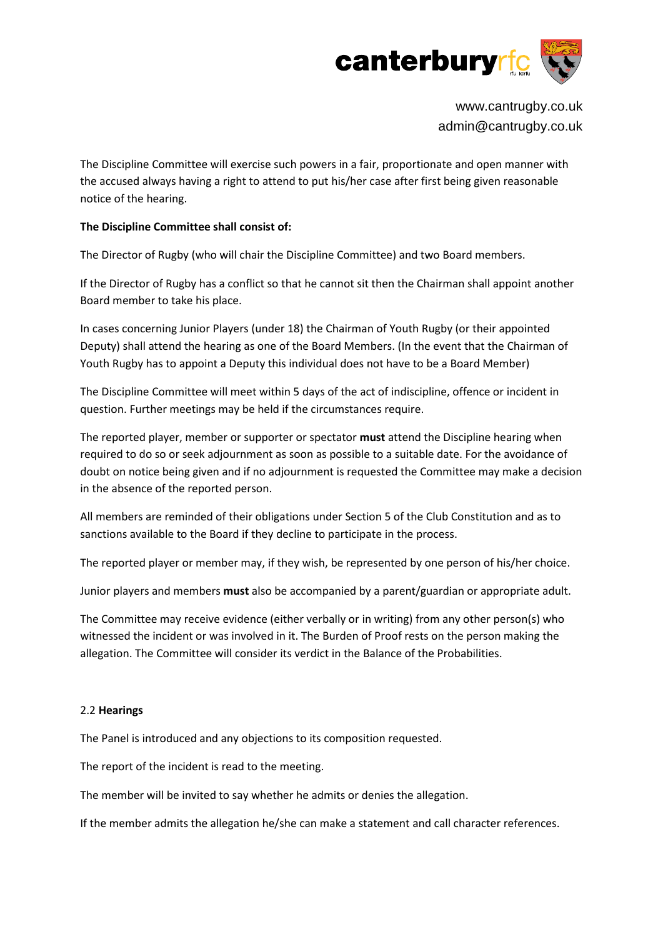

The Discipline Committee will exercise such powers in a fair, proportionate and open manner with the accused always having a right to attend to put his/her case after first being given reasonable notice of the hearing.

#### **The Discipline Committee shall consist of:**

The Director of Rugby (who will chair the Discipline Committee) and two Board members.

If the Director of Rugby has a conflict so that he cannot sit then the Chairman shall appoint another Board member to take his place.

In cases concerning Junior Players (under 18) the Chairman of Youth Rugby (or their appointed Deputy) shall attend the hearing as one of the Board Members. (In the event that the Chairman of Youth Rugby has to appoint a Deputy this individual does not have to be a Board Member)

The Discipline Committee will meet within 5 days of the act of indiscipline, offence or incident in question. Further meetings may be held if the circumstances require.

The reported player, member or supporter or spectator **must** attend the Discipline hearing when required to do so or seek adjournment as soon as possible to a suitable date. For the avoidance of doubt on notice being given and if no adjournment is requested the Committee may make a decision in the absence of the reported person.

All members are reminded of their obligations under Section 5 of the Club Constitution and as to sanctions available to the Board if they decline to participate in the process.

The reported player or member may, if they wish, be represented by one person of his/her choice.

Junior players and members **must** also be accompanied by a parent/guardian or appropriate adult.

The Committee may receive evidence (either verbally or in writing) from any other person(s) who witnessed the incident or was involved in it. The Burden of Proof rests on the person making the allegation. The Committee will consider its verdict in the Balance of the Probabilities.

#### 2.2 **Hearings**

The Panel is introduced and any objections to its composition requested.

The report of the incident is read to the meeting.

The member will be invited to say whether he admits or denies the allegation.

If the member admits the allegation he/she can make a statement and call character references.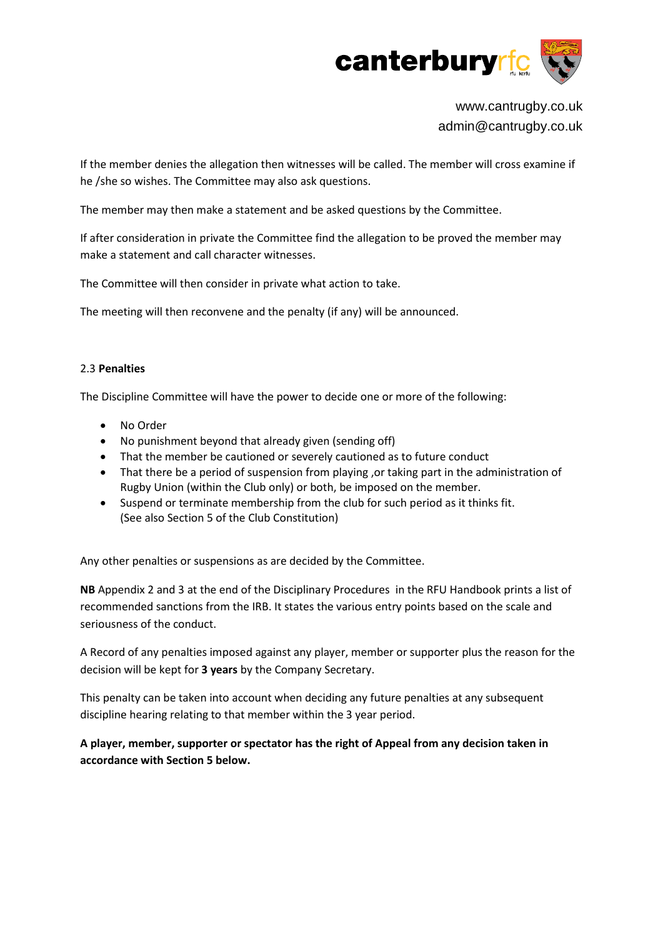

If the member denies the allegation then witnesses will be called. The member will cross examine if he /she so wishes. The Committee may also ask questions.

The member may then make a statement and be asked questions by the Committee.

If after consideration in private the Committee find the allegation to be proved the member may make a statement and call character witnesses.

The Committee will then consider in private what action to take.

The meeting will then reconvene and the penalty (if any) will be announced.

#### 2.3 **Penalties**

The Discipline Committee will have the power to decide one or more of the following:

- No Order
- No punishment beyond that already given (sending off)
- That the member be cautioned or severely cautioned as to future conduct
- That there be a period of suspension from playing , or taking part in the administration of Rugby Union (within the Club only) or both, be imposed on the member.
- Suspend or terminate membership from the club for such period as it thinks fit. (See also Section 5 of the Club Constitution)

Any other penalties or suspensions as are decided by the Committee.

**NB** Appendix 2 and 3 at the end of the Disciplinary Procedures in the RFU Handbook prints a list of recommended sanctions from the IRB. It states the various entry points based on the scale and seriousness of the conduct.

A Record of any penalties imposed against any player, member or supporter plus the reason for the decision will be kept for **3 years** by the Company Secretary.

This penalty can be taken into account when deciding any future penalties at any subsequent discipline hearing relating to that member within the 3 year period.

**A player, member, supporter or spectator has the right of Appeal from any decision taken in accordance with Section 5 below.**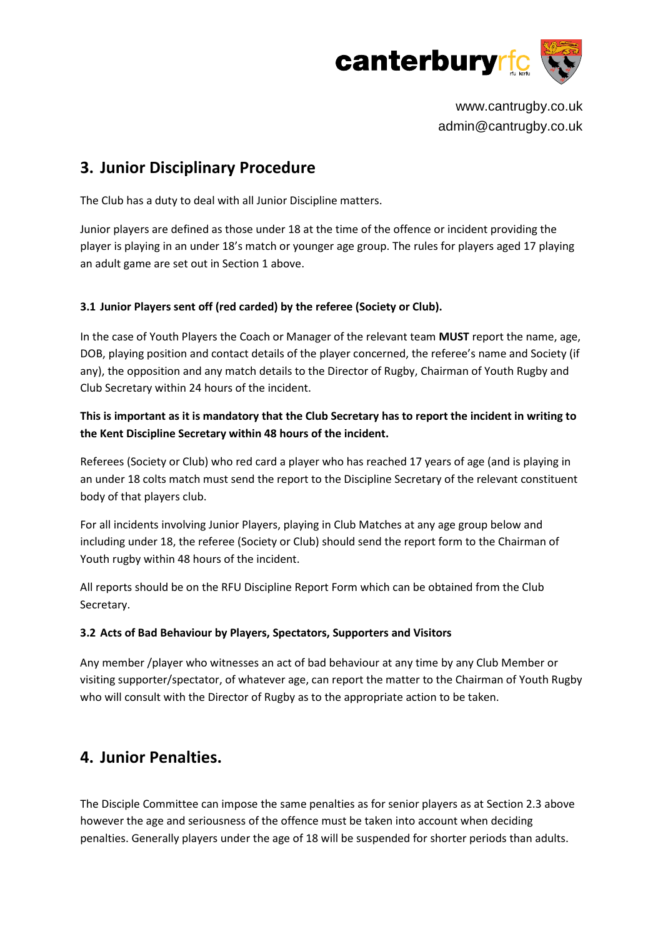

## **3. Junior Disciplinary Procedure**

The Club has a duty to deal with all Junior Discipline matters.

Junior players are defined as those under 18 at the time of the offence or incident providing the player is playing in an under 18's match or younger age group. The rules for players aged 17 playing an adult game are set out in Section 1 above.

### **3.1 Junior Players sent off (red carded) by the referee (Society or Club).**

In the case of Youth Players the Coach or Manager of the relevant team **MUST** report the name, age, DOB, playing position and contact details of the player concerned, the referee's name and Society (if any), the opposition and any match details to the Director of Rugby, Chairman of Youth Rugby and Club Secretary within 24 hours of the incident.

### **This is important as it is mandatory that the Club Secretary has to report the incident in writing to the Kent Discipline Secretary within 48 hours of the incident.**

Referees (Society or Club) who red card a player who has reached 17 years of age (and is playing in an under 18 colts match must send the report to the Discipline Secretary of the relevant constituent body of that players club.

For all incidents involving Junior Players, playing in Club Matches at any age group below and including under 18, the referee (Society or Club) should send the report form to the Chairman of Youth rugby within 48 hours of the incident.

All reports should be on the RFU Discipline Report Form which can be obtained from the Club Secretary.

### **3.2 Acts of Bad Behaviour by Players, Spectators, Supporters and Visitors**

Any member /player who witnesses an act of bad behaviour at any time by any Club Member or visiting supporter/spectator, of whatever age, can report the matter to the Chairman of Youth Rugby who will consult with the Director of Rugby as to the appropriate action to be taken.

## **4. Junior Penalties.**

The Disciple Committee can impose the same penalties as for senior players as at Section 2.3 above however the age and seriousness of the offence must be taken into account when deciding penalties. Generally players under the age of 18 will be suspended for shorter periods than adults.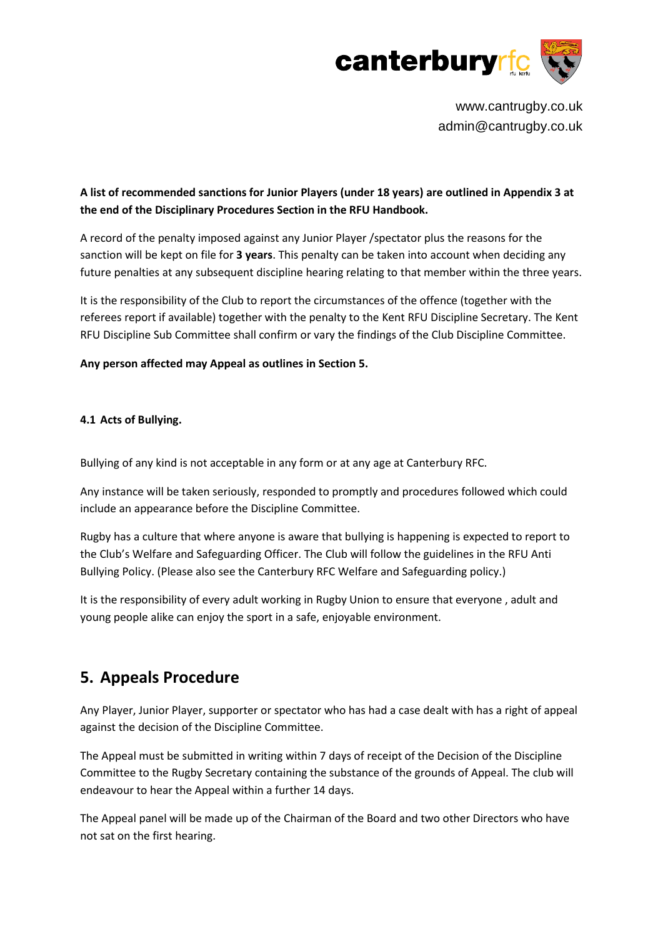

### **A list of recommended sanctions for Junior Players (under 18 years) are outlined in Appendix 3 at the end of the Disciplinary Procedures Section in the RFU Handbook.**

A record of the penalty imposed against any Junior Player /spectator plus the reasons for the sanction will be kept on file for **3 years**. This penalty can be taken into account when deciding any future penalties at any subsequent discipline hearing relating to that member within the three years.

It is the responsibility of the Club to report the circumstances of the offence (together with the referees report if available) together with the penalty to the Kent RFU Discipline Secretary. The Kent RFU Discipline Sub Committee shall confirm or vary the findings of the Club Discipline Committee.

#### **Any person affected may Appeal as outlines in Section 5.**

#### **4.1 Acts of Bullying.**

Bullying of any kind is not acceptable in any form or at any age at Canterbury RFC.

Any instance will be taken seriously, responded to promptly and procedures followed which could include an appearance before the Discipline Committee.

Rugby has a culture that where anyone is aware that bullying is happening is expected to report to the Club's Welfare and Safeguarding Officer. The Club will follow the guidelines in the RFU Anti Bullying Policy. (Please also see the Canterbury RFC Welfare and Safeguarding policy.)

It is the responsibility of every adult working in Rugby Union to ensure that everyone , adult and young people alike can enjoy the sport in a safe, enjoyable environment.

## **5. Appeals Procedure**

Any Player, Junior Player, supporter or spectator who has had a case dealt with has a right of appeal against the decision of the Discipline Committee.

The Appeal must be submitted in writing within 7 days of receipt of the Decision of the Discipline Committee to the Rugby Secretary containing the substance of the grounds of Appeal. The club will endeavour to hear the Appeal within a further 14 days.

The Appeal panel will be made up of the Chairman of the Board and two other Directors who have not sat on the first hearing.